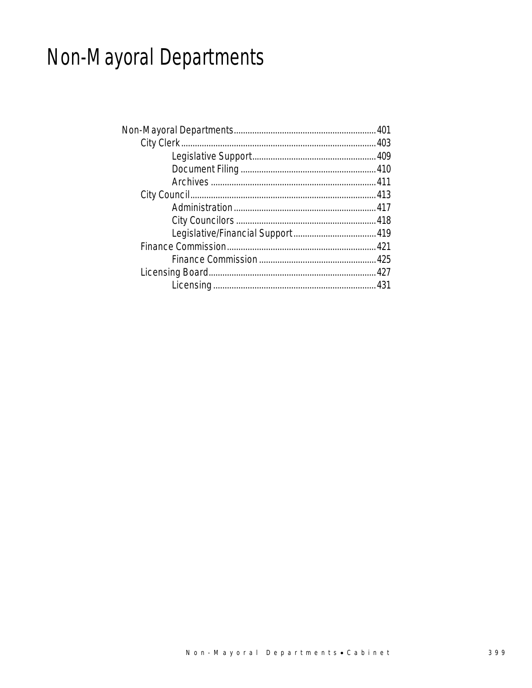# Non-Mayoral Departments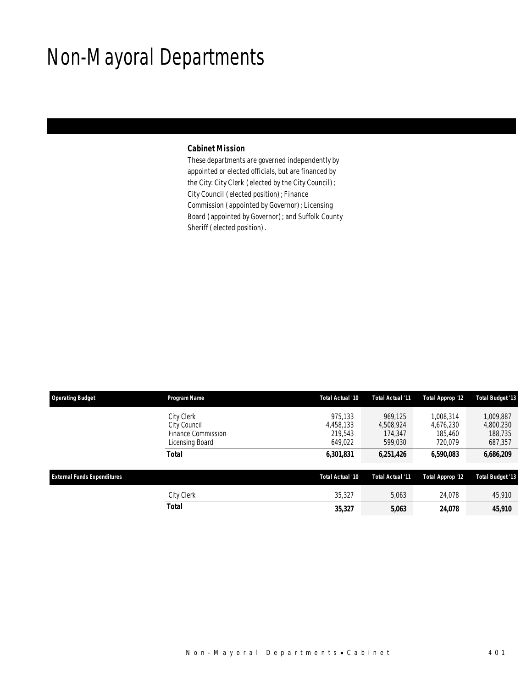## Non-Mayoral Departments

### *Cabinet Mission*

These departments are governed independently by appointed or elected officials, but are financed by the City: City Clerk (elected by the City Council); City Council (elected position); Finance Commission (appointed by Governor); Licensing Board (appointed by Governor); and Suffolk County Sheriff (elected position).

| <b>Operating Budget</b>            | Program Name                                                        | Total Actual '10                           | Total Actual '11                           | Total Approp '12                             | <b>Total Budget '13</b>                      |
|------------------------------------|---------------------------------------------------------------------|--------------------------------------------|--------------------------------------------|----------------------------------------------|----------------------------------------------|
|                                    | City Clerk<br>City Council<br>Finance Commission<br>Licensing Board | 975.133<br>4,458,133<br>219.543<br>649,022 | 969.125<br>4,508,924<br>174.347<br>599,030 | 1,008,314<br>4,676,230<br>185,460<br>720.079 | 1,009,887<br>4,800,230<br>188,735<br>687,357 |
|                                    | <b>Total</b>                                                        | 6,301,831                                  | 6,251,426                                  | 6,590,083                                    | 6,686,209                                    |
| <b>External Funds Expenditures</b> |                                                                     | Total Actual '10                           | Total Actual '11                           | <b>Total Approp '12</b>                      | <b>Total Budget '13</b>                      |
|                                    | City Clerk                                                          | 35,327                                     | 5,063                                      | 24,078                                       | 45,910                                       |
|                                    | <b>Total</b>                                                        | 35,327                                     | 5,063                                      | 24,078                                       | 45,910                                       |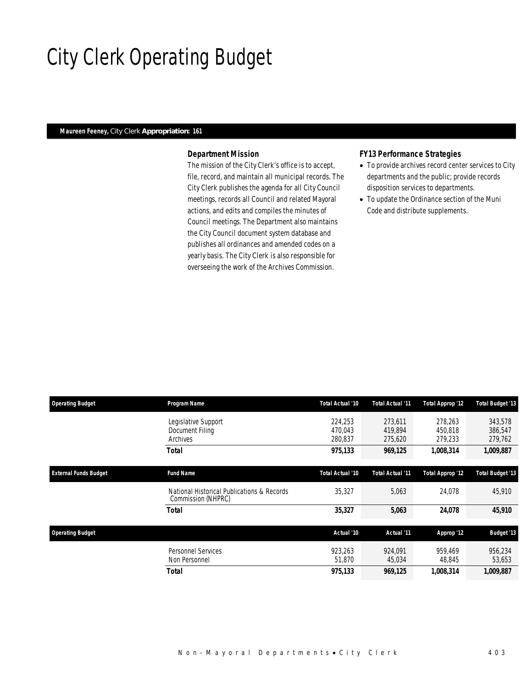## City Clerk Operating Budget

### *Maureen Feeney, City Clerk Appropriation: 161*

### *Department Mission*

The mission of the City Clerk's office is to accept, file, record, and maintain all municipal records. The City Clerk publishes the agenda for all City Council meetings, records all Council and related Mayoral actions, and edits and compiles the minutes of Council meetings. The Department also maintains the City Council document system database and publishes all ordinances and amended codes on a yearly basis. The City Clerk is also responsible for overseeing the work of the Archives Commission.

#### *FY13 Performance Strategies*

- To provide archives record center services to City departments and the public; provide records disposition services to departments.
- To update the Ordinance section of the Muni Code and distribute supplements.

| <b>Operating Budget</b>      | Program Name                                                     | Total Actual '10              | Total Actual '11              | <b>Total Approp '12</b>       | <b>Total Budget '13</b>       |
|------------------------------|------------------------------------------------------------------|-------------------------------|-------------------------------|-------------------------------|-------------------------------|
|                              | Legislative Support<br>Document Filing<br>Archives               | 224,253<br>470.043<br>280,837 | 273,611<br>419.894<br>275,620 | 278,263<br>450.818<br>279,233 | 343,578<br>386,547<br>279,762 |
|                              | Total                                                            | 975,133                       | 969,125                       | 1,008,314                     | 1,009,887                     |
| <b>External Funds Budget</b> | <b>Fund Name</b>                                                 | Total Actual '10              | Total Actual '11              | Total Approp '12              | <b>Total Budget '13</b>       |
|                              | National Historical Publications & Records<br>Commission (NHPRC) | 35,327                        | 5,063                         | 24,078                        | 45,910                        |
|                              | Total                                                            | 35,327                        | 5,063                         | 24,078                        | 45,910                        |
| <b>Operating Budget</b>      |                                                                  | Actual '10                    | Actual '11                    | Approp '12                    | <b>Budget '13</b>             |
|                              | <b>Personnel Services</b><br>Non Personnel                       | 923.263<br>51,870             | 924.091<br>45,034             | 959.469<br>48,845             | 956,234<br>53,653             |
|                              | Total                                                            | 975,133                       | 969,125                       | 1,008,314                     | 1,009,887                     |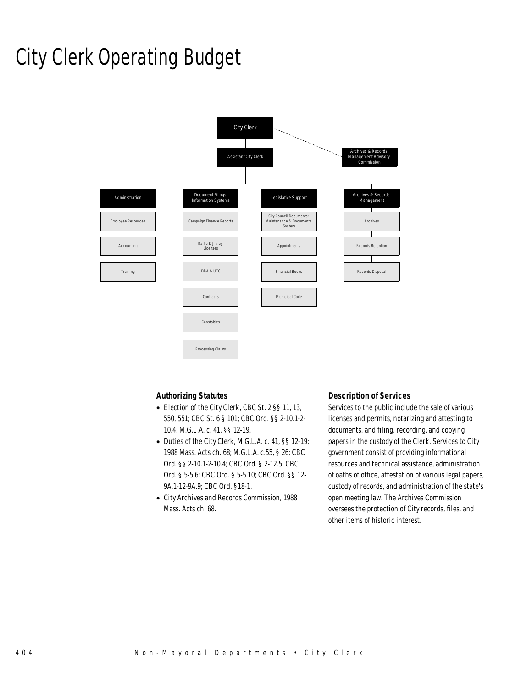### City Clerk Operating Budget



### *Authorizing Statutes*

- Election of the City Clerk, CBC St. 2 §§ 11, 13, 550, 551; CBC St. 6 § 101; CBC Ord. §§ 2-10.1-2- 10.4; M.G.L.A. c. 41, §§ 12-19.
- Duties of the City Clerk, M.G.L.A. c. 41, §§ 12-19; 1988 Mass. Acts ch. 68; M.G.L.A. c.55, § 26; CBC Ord. §§ 2-10.1-2-10.4; CBC Ord. § 2-12.5; CBC Ord. § 5-5.6; CBC Ord. § 5-5.10; CBC Ord. §§ 12- 9A.1-12-9A.9; CBC Ord. §18-1.
- City Archives and Records Commission, 1988 Mass. Acts ch. 68.

#### *Description of Services*

Services to the public include the sale of various licenses and permits, notarizing and attesting to documents, and filing, recording, and copying papers in the custody of the Clerk. Services to City government consist of providing informational resources and technical assistance, administration of oaths of office, attestation of various legal papers, custody of records, and administration of the state's open meeting law. The Archives Commission oversees the protection of City records, files, and other items of historic interest.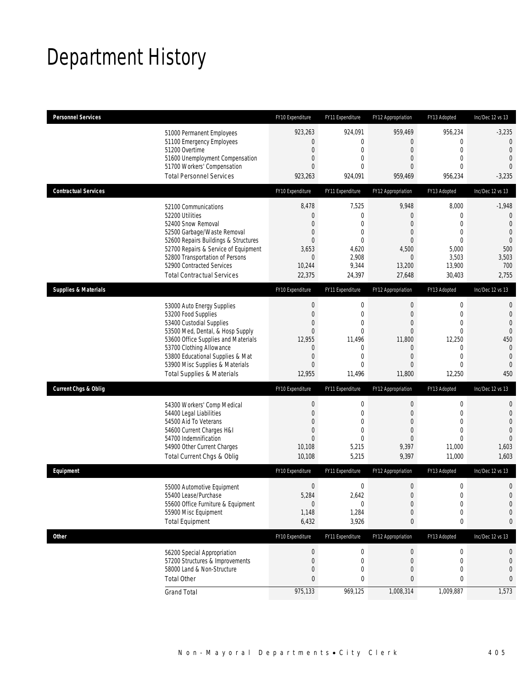# Department History

| <b>Personnel Services</b>       |                                                                                                                                                                                                                                                                                                      | FY10 Expenditure                                                                                      | FY11 Expenditure                                                                               | FY12 Appropriation                                                                          | FY13 Adopted                                                                                                                   | Inc/Dec 12 vs 13                                                                                                            |
|---------------------------------|------------------------------------------------------------------------------------------------------------------------------------------------------------------------------------------------------------------------------------------------------------------------------------------------------|-------------------------------------------------------------------------------------------------------|------------------------------------------------------------------------------------------------|---------------------------------------------------------------------------------------------|--------------------------------------------------------------------------------------------------------------------------------|-----------------------------------------------------------------------------------------------------------------------------|
|                                 | 51000 Permanent Employees<br>51100 Emergency Employees<br>51200 Overtime<br>51600 Unemployment Compensation<br>51700 Workers' Compensation<br><b>Total Personnel Services</b>                                                                                                                        | 923,263<br>0<br>$\mathbf 0$<br>$\boldsymbol{0}$<br>0<br>923,263                                       | 924,091<br>0<br>0<br>$\overline{0}$<br>$\Omega$<br>924,091                                     | 959,469<br>0<br>0<br>0<br>0<br>959,469                                                      | 956,234<br>$\mathbf{0}$<br>$\mathbf 0$<br>$\mathbf{0}$<br>$\Omega$<br>956,234                                                  | $-3,235$<br>$\overline{0}$<br>$\overline{0}$<br>$\mathbf{0}$<br>$\overline{0}$<br>$-3,235$                                  |
| <b>Contractual Services</b>     |                                                                                                                                                                                                                                                                                                      | FY10 Expenditure                                                                                      | FY11 Expenditure                                                                               | FY12 Appropriation                                                                          | FY13 Adopted                                                                                                                   | Inc/Dec 12 vs 13                                                                                                            |
|                                 | 52100 Communications<br>52200 Utilities<br>52400 Snow Removal<br>52500 Garbage/Waste Removal<br>52600 Repairs Buildings & Structures<br>52700 Repairs & Service of Equipment<br>52800 Transportation of Persons<br>52900 Contracted Services<br><b>Total Contractual Services</b>                    | 8,478<br>$\boldsymbol{0}$<br>0<br>0<br>$\overline{0}$<br>3,653<br>$\mathbf 0$<br>10,244<br>22,375     | 7,525<br>$\mathbf 0$<br>0<br>0<br>$\overline{0}$<br>4,620<br>2,908<br>9,344<br>24,397          | 9,948<br>$\mathbf 0$<br>0<br>0<br>$\overline{0}$<br>4,500<br>0<br>13,200<br>27,648          | 8,000<br>$\mathbf 0$<br>$\mathbf{0}$<br>$\mathbf{0}$<br>$\mathbf{0}$<br>5,000<br>3,503<br>13,900<br>30,403                     | $-1,948$<br>$\mathbf 0$<br>$\mathbf{0}$<br>$\mathbf{0}$<br>$\overline{0}$<br>500<br>3,503<br>700<br>2,755                   |
| <b>Supplies &amp; Materials</b> |                                                                                                                                                                                                                                                                                                      | FY10 Expenditure                                                                                      | FY11 Expenditure                                                                               | FY12 Appropriation                                                                          | FY13 Adopted                                                                                                                   | Inc/Dec 12 vs 13                                                                                                            |
|                                 | 53000 Auto Energy Supplies<br>53200 Food Supplies<br>53400 Custodial Supplies<br>53500 Med, Dental, & Hosp Supply<br>53600 Office Supplies and Materials<br>53700 Clothing Allowance<br>53800 Educational Supplies & Mat<br>53900 Misc Supplies & Materials<br><b>Total Supplies &amp; Materials</b> | $\bf{0}$<br>$\boldsymbol{0}$<br>0<br>$\overline{0}$<br>12,955<br>0<br>$\boldsymbol{0}$<br>0<br>12,955 | $\mathbf 0$<br>$\mathbf 0$<br>0<br>$\overline{0}$<br>11,496<br>0<br>$\mathbf 0$<br>0<br>11,496 | $\mathbf 0$<br>$\boldsymbol{0}$<br>0<br>0<br>11.800<br>0<br>$\boldsymbol{0}$<br>0<br>11,800 | $\mathbf 0$<br>$\mathbf 0$<br>$\mathbf{0}$<br>$\mathbf{0}$<br>12,250<br>$\mathbf{0}$<br>$\mathbf{0}$<br>$\mathbf{0}$<br>12,250 | $\mathbf{0}$<br>$\mathbf 0$<br>$\mathbf{0}$<br>$\overline{0}$<br>450<br>$\mathbf{0}$<br>$\mathbf{0}$<br>$\mathbf{0}$<br>450 |
| <b>Current Chgs &amp; Oblig</b> |                                                                                                                                                                                                                                                                                                      | FY10 Expenditure                                                                                      | FY11 Expenditure                                                                               | FY12 Appropriation                                                                          | FY13 Adopted                                                                                                                   | Inc/Dec 12 vs 13                                                                                                            |
|                                 | 54300 Workers' Comp Medical<br>54400 Legal Liabilities<br>54500 Aid To Veterans<br>54600 Current Charges H&I<br>54700 Indemnification<br>54900 Other Current Charges<br>Total Current Chgs & Oblig                                                                                                   | $\boldsymbol{0}$<br>$\boldsymbol{0}$<br>$\boldsymbol{0}$<br>0<br>$\overline{0}$<br>10,108<br>10,108   | $\mathbf 0$<br>0<br>$\overline{0}$<br>0<br>$\Omega$<br>5,215<br>5,215                          | $\boldsymbol{0}$<br>0<br>$\overline{0}$<br>0<br>0<br>9,397<br>9,397                         | $\boldsymbol{0}$<br>$\mathbf 0$<br>$\mathbf{0}$<br>$\mathbf{0}$<br>$\theta$<br>11,000<br>11,000                                | $\mathbf 0$<br>$\mathbf 0$<br>$\overline{0}$<br>$\overline{0}$<br>$\Omega$<br>1,603<br>1,603                                |
| Equipment                       |                                                                                                                                                                                                                                                                                                      | FY10 Expenditure                                                                                      | FY11 Expenditure                                                                               | FY12 Appropriation                                                                          | FY13 Adopted                                                                                                                   | Inc/Dec 12 vs 13                                                                                                            |
|                                 | 55000 Automotive Equipment<br>55400 Lease/Purchase<br>55600 Office Furniture & Equipment<br>55900 Misc Equipment<br><b>Total Equipment</b>                                                                                                                                                           | $\boldsymbol{0}$<br>5,284<br>$\pmb{0}$<br>1,148<br>6,432                                              | 0<br>2,642<br>0<br>1,284<br>3,926                                                              | $\mathbf 0$<br>0<br>$\boldsymbol{0}$<br>$\mathbf 0$<br>0                                    | $\mathbf 0$<br>$\mathbf 0$<br>$\boldsymbol{0}$<br>$\mathbf 0$<br>$\pmb{0}$                                                     | $\mathbf 0$<br>$\mathbf 0$<br>$\mathbf 0$<br>0<br>0                                                                         |
| Other                           |                                                                                                                                                                                                                                                                                                      | FY10 Expenditure                                                                                      | FY11 Expenditure                                                                               | FY12 Appropriation                                                                          | FY13 Adopted                                                                                                                   | Inc/Dec 12 vs 13                                                                                                            |
|                                 | 56200 Special Appropriation<br>57200 Structures & Improvements<br>58000 Land & Non-Structure<br><b>Total Other</b>                                                                                                                                                                                   | $\pmb{0}$<br>$\pmb{0}$<br>$\boldsymbol{0}$<br>$\pmb{0}$                                               | 0<br>0<br>0<br>0                                                                               | $\pmb{0}$<br>0<br>0<br>0                                                                    | $\boldsymbol{0}$<br>$\mathbf 0$<br>$\mathbf 0$<br>0                                                                            | 0<br>$\mathbf 0$<br>$\mathbf 0$<br>0                                                                                        |
|                                 | <b>Grand Total</b>                                                                                                                                                                                                                                                                                   | 975,133                                                                                               | 969,125                                                                                        | 1,008,314                                                                                   | 1,009,887                                                                                                                      | 1,573                                                                                                                       |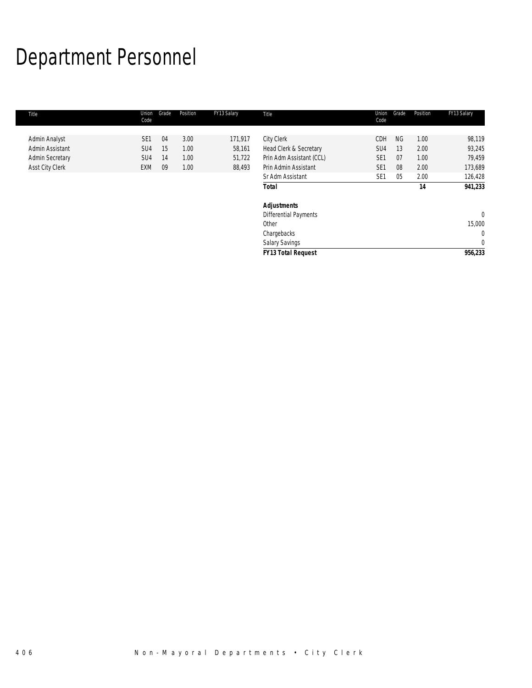# Department Personnel

| Title                  | Union<br>Code   | Grade | Position | FY13 Salary | Title                        | Union<br>Code   | Grade     | Position | FY13 Salary |
|------------------------|-----------------|-------|----------|-------------|------------------------------|-----------------|-----------|----------|-------------|
|                        |                 |       |          |             |                              |                 |           |          |             |
| Admin Analyst          | SE <sub>1</sub> | 04    | 3.00     | 171,917     | <b>City Clerk</b>            | CDH             | <b>NG</b> | 1.00     | 98,119      |
| Admin Assistant        | SU <sub>4</sub> | 15    | 1.00     | 58,161      | Head Clerk & Secretary       | SU4             | 13        | 2.00     | 93,245      |
| <b>Admin Secretary</b> | SU <sub>4</sub> | 14    | 1.00     | 51,722      | Prin Adm Assistant (CCL)     | SE <sub>1</sub> | 07        | 1.00     | 79,459      |
| <b>Asst City Clerk</b> | <b>EXM</b>      | 09    | 1.00     | 88,493      | Prin Admin Assistant         | SE <sub>1</sub> | 08        | 2.00     | 173,689     |
|                        |                 |       |          |             | Sr Adm Assistant             | SE <sub>1</sub> | 05        | 2.00     | 126,428     |
|                        |                 |       |          |             | <b>Total</b>                 |                 |           | 14       | 941,233     |
|                        |                 |       |          |             | <b>Adjustments</b>           |                 |           |          |             |
|                        |                 |       |          |             | <b>Differential Payments</b> |                 |           |          | $\theta$    |
|                        |                 |       |          |             | Other                        |                 |           |          | 15,000      |
|                        |                 |       |          |             | Chargebacks                  |                 |           |          | $\mathbf 0$ |
|                        |                 |       |          |             | <b>Salary Savings</b>        |                 |           |          | 0           |
|                        |                 |       |          |             | <b>FY13 Total Request</b>    |                 |           |          | 956,233     |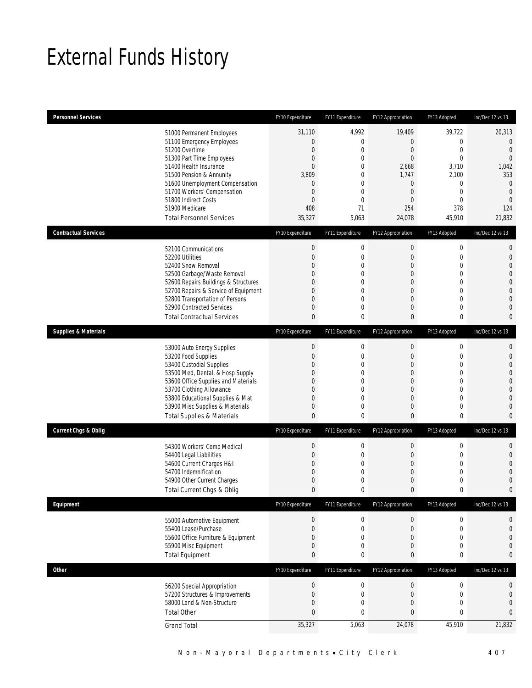## External Funds History

| <b>Personnel Services</b>                                                                                                                                                      |                                                                                                                                                                                         | FY10 Expenditure                                                                                                                             | FY11 Expenditure                                                                                               | FY12 Appropriation                                                                                                                                         | FY13 Adopted                                                                                                                            | Inc/Dec 12 vs 13                                                                                                                                       |
|--------------------------------------------------------------------------------------------------------------------------------------------------------------------------------|-----------------------------------------------------------------------------------------------------------------------------------------------------------------------------------------|----------------------------------------------------------------------------------------------------------------------------------------------|----------------------------------------------------------------------------------------------------------------|------------------------------------------------------------------------------------------------------------------------------------------------------------|-----------------------------------------------------------------------------------------------------------------------------------------|--------------------------------------------------------------------------------------------------------------------------------------------------------|
| 51200 Overtime<br>51300 Part Time Employees<br>51400 Health Insurance<br>51500 Pension & Annunity<br>51800 Indirect Costs<br>51900 Medicare<br><b>Total Personnel Services</b> | 51000 Permanent Employees<br>51100 Emergency Employees<br>51600 Unemployment Compensation<br>51700 Workers' Compensation                                                                | 31,110<br>$\boldsymbol{0}$<br>$\mathbf 0$<br>$\boldsymbol{0}$<br>$\overline{0}$<br>3,809<br>0<br>$\mathbf 0$<br>$\mathbf 0$<br>408<br>35,327 | 4,992<br>$\boldsymbol{0}$<br>0<br>$\mathbf 0$<br>$\mathbf 0$<br>0<br>0<br>0<br>$\boldsymbol{0}$<br>71<br>5,063 | 19,409<br>$\mathbf 0$<br>$\boldsymbol{0}$<br>$\overline{0}$<br>2,668<br>1,747<br>0<br>$\boldsymbol{0}$<br>$\mathbf{0}$<br>254<br>24,078                    | 39,722<br>$\mathbf 0$<br>$\mathbf 0$<br>$\mathbf{0}$<br>3,710<br>2,100<br>$\mathbf{0}$<br>$\mathbf 0$<br>$\mathbf{0}$<br>378<br>45,910  | 20,313<br>$\overline{0}$<br>$\mathbf{0}$<br>$\mathbf{0}$<br>1,042<br>353<br>$\mathbf{0}$<br>$\mathbf{0}$<br>$\overline{0}$<br>124<br>21,832            |
| <b>Contractual Services</b>                                                                                                                                                    |                                                                                                                                                                                         | FY10 Expenditure                                                                                                                             | FY11 Expenditure                                                                                               | FY12 Appropriation                                                                                                                                         | FY13 Adopted                                                                                                                            | Inc/Dec 12 vs 13                                                                                                                                       |
| 52100 Communications<br>52200 Utilities<br>52400 Snow Removal<br>52900 Contracted Services                                                                                     | 52500 Garbage/Waste Removal<br>52600 Repairs Buildings & Structures<br>52700 Repairs & Service of Equipment<br>52800 Transportation of Persons<br><b>Total Contractual Services</b>     | $\boldsymbol{0}$<br>$\boldsymbol{0}$<br>0<br>0<br>0<br>0<br>0<br>0<br>0                                                                      | $\boldsymbol{0}$<br>$\boldsymbol{0}$<br>0<br>$\boldsymbol{0}$<br>$\mathbf 0$<br>0<br>$\mathbf 0$<br>0<br>0     | $\mathbf 0$<br>$\boldsymbol{0}$<br>$\overline{0}$<br>$\mathbf 0$<br>$\mathbf{0}$<br>$\mathbf 0$<br>$\overline{0}$<br>$\mathbf 0$<br>0                      | $\boldsymbol{0}$<br>$\mathbf 0$<br>$\mathbf{0}$<br>$\mathbf 0$<br>$\overline{0}$<br>$\mathbf{0}$<br>$\overline{0}$<br>$\mathbf{0}$<br>0 | $\mathbf{0}$<br>$\mathbf{0}$<br>$\overline{0}$<br>$\Omega$<br>$\mathbf{0}$<br>$\overline{0}$<br>$\overline{0}$<br>$\overline{0}$<br>$\bf{0}$           |
| <b>Supplies &amp; Materials</b>                                                                                                                                                |                                                                                                                                                                                         | FY10 Expenditure                                                                                                                             | FY11 Expenditure                                                                                               | FY12 Appropriation                                                                                                                                         | FY13 Adopted                                                                                                                            | Inc/Dec 12 vs 13                                                                                                                                       |
| 53000 Auto Energy Supplies<br>53200 Food Supplies<br>53400 Custodial Supplies<br>53700 Clothing Allowance                                                                      | 53500 Med, Dental, & Hosp Supply<br>53600 Office Supplies and Materials<br>53800 Educational Supplies & Mat<br>53900 Misc Supplies & Materials<br><b>Total Supplies &amp; Materials</b> | $\theta$<br>$\boldsymbol{0}$<br>0<br>0<br>0<br>0<br>0<br>0<br>$\mathbf{0}$                                                                   | $\boldsymbol{0}$<br>$\boldsymbol{0}$<br>0<br>0<br>$\mathbf 0$<br>0<br>$\mathbf 0$<br>0<br>0                    | $\boldsymbol{0}$<br>$\boldsymbol{0}$<br>$\overline{0}$<br>$\mathbf{0}$<br>$\overline{0}$<br>$\mathbf 0$<br>$\boldsymbol{0}$<br>$\mathbf 0$<br>$\mathbf{0}$ | $\boldsymbol{0}$<br>$\mathbf 0$<br>$\mathbf{0}$<br>0<br>$\overline{0}$<br>$\mathbf{0}$<br>$\mathbf{0}$<br>$\mathbf{0}$<br>0             | $\mathbf{0}$<br>$\mathbf{0}$<br>$\overline{0}$<br>$\overline{0}$<br>$\mathbf{0}$<br>$\overline{0}$<br>$\overline{0}$<br>$\overline{0}$<br>$\mathbf{0}$ |
| <b>Current Chgs &amp; Oblig</b>                                                                                                                                                |                                                                                                                                                                                         | FY10 Expenditure                                                                                                                             | FY11 Expenditure                                                                                               | FY12 Appropriation                                                                                                                                         | FY13 Adopted                                                                                                                            | Inc/Dec 12 vs 13                                                                                                                                       |
| 54400 Legal Liabilities<br>54600 Current Charges H&I<br>54700 Indemnification                                                                                                  | 54300 Workers' Comp Medical<br>54900 Other Current Charges<br>Total Current Chgs & Oblig                                                                                                | $\theta$<br>$\boldsymbol{0}$<br>0<br>0<br>0<br>0                                                                                             | $\boldsymbol{0}$<br>$\boldsymbol{0}$<br>0<br>0<br>$\boldsymbol{0}$<br>0                                        | 0<br>$\mathbf 0$<br>$\overline{0}$<br>$\mathbf 0$<br>$\mathbf 0$<br>$\mathbf{0}$                                                                           | $\boldsymbol{0}$<br>$\mathbf 0$<br>$\mathbf{0}$<br>$\mathbf{0}$<br>$\mathbf 0$<br>0                                                     | $\mathbf{0}$<br>$\mathbf{0}$<br>$\overline{0}$<br>$\Omega$<br>$\mathbf{0}$<br>$\bf{0}$                                                                 |
| Equipment                                                                                                                                                                      |                                                                                                                                                                                         | FY10 Expenditure                                                                                                                             | FY11 Expenditure                                                                                               | FY12 Appropriation                                                                                                                                         | FY13 Adopted                                                                                                                            | Inc/Dec 12 vs 13                                                                                                                                       |
| 55400 Lease/Purchase<br>55900 Misc Equipment<br><b>Total Equipment</b>                                                                                                         | 55000 Automotive Equipment<br>55600 Office Furniture & Equipment                                                                                                                        | $\boldsymbol{0}$<br>$\boldsymbol{0}$<br>0<br>0<br>0                                                                                          | $\boldsymbol{0}$<br>$\boldsymbol{0}$<br>$\boldsymbol{0}$<br>0<br>0                                             | 0<br>$\mathbf 0$<br>0<br>0<br>0                                                                                                                            | $\boldsymbol{0}$<br>$\mathbf 0$<br>$\mathbf{0}$<br>$\mathbf 0$<br>0                                                                     | 0<br>$\mathbf{0}$<br>$\mathbf{0}$<br>$\mathbf{0}$<br>$\bf{0}$                                                                                          |
| <b>Other</b>                                                                                                                                                                   |                                                                                                                                                                                         | FY10 Expenditure                                                                                                                             | FY11 Expenditure                                                                                               | FY12 Appropriation                                                                                                                                         | FY13 Adopted                                                                                                                            | Inc/Dec 12 vs 13                                                                                                                                       |
| <b>Total Other</b><br><b>Grand Total</b>                                                                                                                                       | 56200 Special Appropriation<br>57200 Structures & Improvements<br>58000 Land & Non-Structure                                                                                            | $\boldsymbol{0}$<br>$\boldsymbol{0}$<br>0<br>0<br>35,327                                                                                     | $\boldsymbol{0}$<br>$\boldsymbol{0}$<br>0<br>0<br>5,063                                                        | $\boldsymbol{0}$<br>$\mathbf 0$<br>$\boldsymbol{0}$<br>$\bf{0}$<br>24,078                                                                                  | $\boldsymbol{0}$<br>$\mathbf 0$<br>$\mathbf 0$<br>$\bf{0}$<br>45,910                                                                    | $\boldsymbol{0}$<br>$\mathbf 0$<br>$\mathbf{0}$<br>0<br>21,832                                                                                         |
|                                                                                                                                                                                |                                                                                                                                                                                         |                                                                                                                                              |                                                                                                                |                                                                                                                                                            |                                                                                                                                         |                                                                                                                                                        |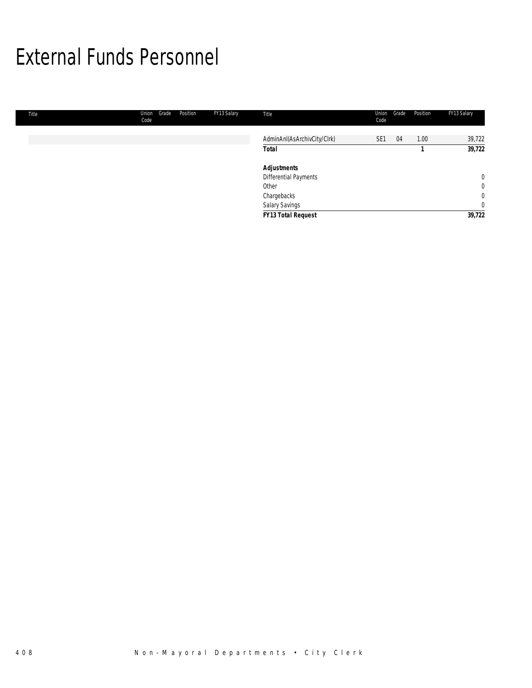### External Funds Personnel

| Title | Union<br>Grade<br>Code | FY13 Salary<br>Position | Title                       | Union<br>Code   | Grade | Position | FY13 Salary    |
|-------|------------------------|-------------------------|-----------------------------|-----------------|-------|----------|----------------|
|       |                        |                         | AdminAnI(AsArchivCity/Clrk) | SE <sub>1</sub> | 04    | 1.00     | 39,722         |
|       |                        |                         | <b>Total</b>                |                 |       |          | 39,722         |
|       |                        |                         | <b>Adjustments</b>          |                 |       |          |                |
|       |                        |                         | Differential Payments       |                 |       |          | $\overline{0}$ |
|       |                        |                         | Other                       |                 |       |          | $\overline{0}$ |
|       |                        |                         | Chargebacks                 |                 |       |          | 0              |
|       |                        |                         | Salary Savings              |                 |       |          | 0              |
|       |                        |                         | <b>FY13 Total Request</b>   |                 |       |          | 39,722         |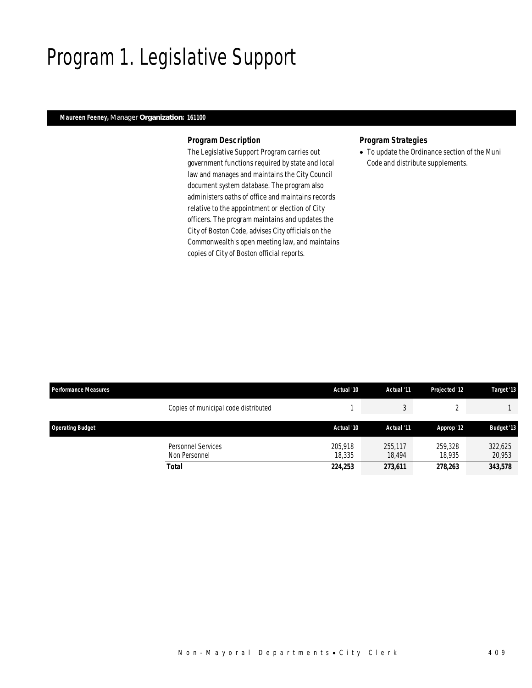## Program 1. Legislative Support

### *Maureen Feeney, Manager Organization: 161100*

#### *Program Description*

The Legislative Support Program carries out government functions required by state and local law and manages and maintains the City Council document system database. The program also administers oaths of office and maintains records relative to the appointment or election of City officers. The program maintains and updates the City of Boston Code, advises City officials on the Commonwealth's open meeting law, and maintains copies of City of Boston official reports.

#### *Program Strategies*

• To update the Ordinance section of the Muni Code and distribute supplements.

| <b>Performance Measures</b> |                                            | Actual '10        | Actual '11        | Projected '12     | Target '13        |
|-----------------------------|--------------------------------------------|-------------------|-------------------|-------------------|-------------------|
|                             | Copies of municipal code distributed       |                   |                   |                   |                   |
| <b>Operating Budget</b>     |                                            | Actual '10        | Actual '11        | Approp '12        | <b>Budget '13</b> |
|                             | <b>Personnel Services</b><br>Non Personnel | 205.918<br>18.335 | 255,117<br>18.494 | 259,328<br>18.935 | 322,625<br>20,953 |
|                             | <b>Total</b>                               | 224,253           | 273,611           | 278,263           | 343,578           |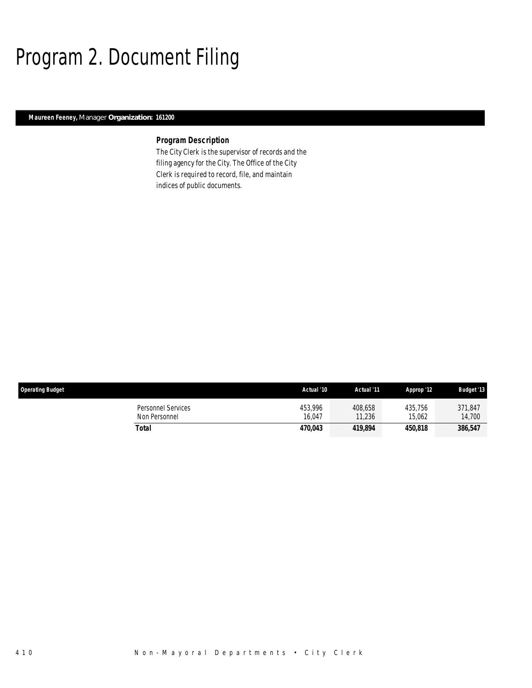# Program 2. Document Filing

### *Maureen Feeney, Manager Organization: 161200*

### *Program Description*

The City Clerk is the supervisor of records and the filing agency for the City. The Office of the City Clerk is required to record, file, and maintain indices of public documents.

| <b>Operating Budget</b>             | Actual '10            | Actual '11        | Approp '12        | <b>Budget '13</b> |
|-------------------------------------|-----------------------|-------------------|-------------------|-------------------|
| Personnel Services<br>Non Personnel | 453.996<br>16.047     | 408.658<br>11,236 | 435.756<br>15,062 | 371,847<br>14,700 |
| Total                               | <i><b>470.043</b></i> | 419,894           | 450.818           | 386,547           |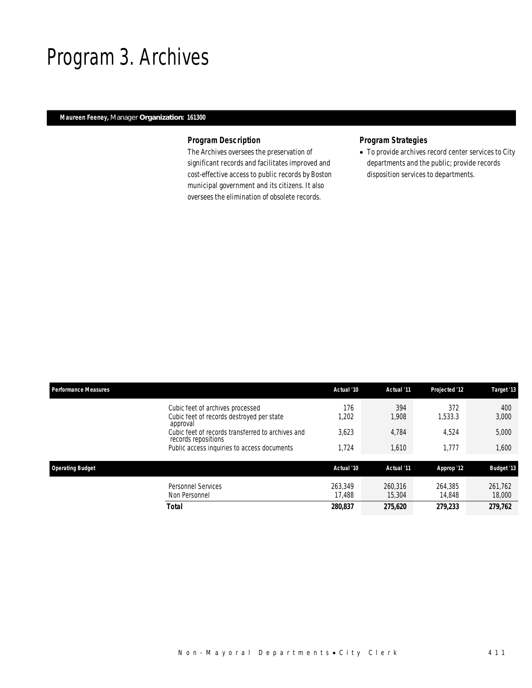### Program 3. Archives

### *Maureen Feeney, Manager Organization: 161300*

### *Program Description*

The Archives oversees the preservation of significant records and facilitates improved and cost-effective access to public records by Boston municipal government and its citizens. It also oversees the elimination of obsolete records.

### *Program Strategies*

• To provide archives record center services to City departments and the public; provide records disposition services to departments.

| <b>Performance Measures</b> |                                                                                           | Actual '10        | Actual '11        | Projected '12     | Target '13        |
|-----------------------------|-------------------------------------------------------------------------------------------|-------------------|-------------------|-------------------|-------------------|
|                             | Cubic feet of archives processed<br>Cubic feet of records destroyed per state<br>approval | 176<br>1,202      | 394<br>1.908      | 372<br>1.533.3    | 400<br>3,000      |
|                             | Cubic feet of records transferred to archives and<br>records repositions                  | 3,623             | 4,784             | 4.524             | 5,000             |
|                             | Public access inquiries to access documents                                               | 1,724             | 1,610             | 1.777             | 1,600             |
| <b>Operating Budget</b>     |                                                                                           | Actual '10        | Actual '11        | Approp '12        | <b>Budget '13</b> |
|                             | <b>Personnel Services</b><br>Non Personnel                                                | 263.349<br>17.488 | 260.316<br>15,304 | 264,385<br>14,848 | 261.762<br>18,000 |
| <b>Total</b>                |                                                                                           | 280,837           | 275,620           | 279.233           | 279,762           |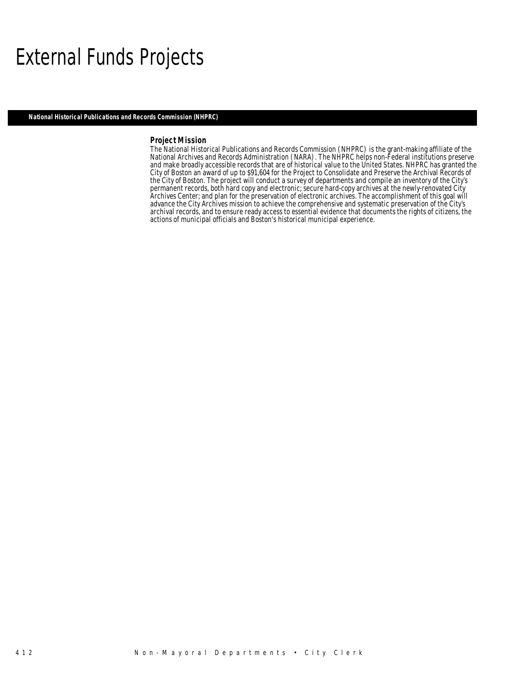### External Funds Projects

*National Historical Publications and Records Commission (NHPRC)* 

#### *Project Mission*

The National Historical Publications and Records Commission (NHPRC) is the grant-making affiliate of the National Archives and Records Administration (NARA). The NHPRC helps non-Federal institutions preserve and make broadly accessible records that are of historical value to the United States. NHPRC has granted the City of Boston an award of up to \$91,604 for the Project to Consolidate and Preserve the Archival Records of the City of Boston. The project will conduct a survey of departments and compile an inventory of the City's permanent records, both hard copy and electronic; secure hard-copy archives at the newly-renovated City Archives Center; and plan for the preservation of electronic archives. The accomplishment of this goal will advance the City Archives mission to achieve the comprehensive and systematic preservation of the City's archival records, and to ensure ready access to essential evidence that documents the rights of citizens, the actions of municipal officials and Boston's historical municipal experience.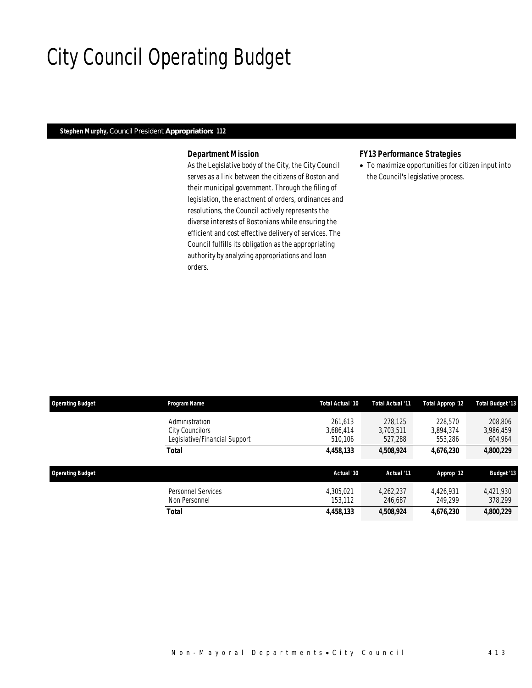## City Council Operating Budget

### *Stephen Murphy, Council President Appropriation: 112*

### *Department Mission*

As the Legislative body of the City, the City Council serves as a link between the citizens of Boston and their municipal government. Through the filing of legislation, the enactment of orders, ordinances and resolutions, the Council actively represents the diverse interests of Bostonians while ensuring the efficient and cost effective delivery of services. The Council fulfills its obligation as the appropriating authority by analyzing appropriations and loan orders.

#### *FY13 Performance Strategies*

• To maximize opportunities for citizen input into the Council's legislative process.

| <b>Operating Budget</b> | Program Name                                                       | Total Actual '10                | Total Actual '11                | Total Approp '12                | <b>Total Budget '13</b>         |
|-------------------------|--------------------------------------------------------------------|---------------------------------|---------------------------------|---------------------------------|---------------------------------|
|                         | Administration<br>City Councilors<br>Legislative/Financial Support | 261.613<br>3.686.414<br>510.106 | 278.125<br>3.703.511<br>527.288 | 228,570<br>3.894.374<br>553,286 | 208,806<br>3,986,459<br>604,964 |
|                         | Total                                                              | 4,458,133                       | 4,508,924                       | 4,676,230                       | 4,800,229                       |
| <b>Operating Budget</b> |                                                                    | Actual '10                      | Actual '11                      | Approp '12                      | <b>Budget '13</b>               |
|                         | <b>Personnel Services</b><br>Non Personnel                         | 4.305.021<br>153.112            | 4.262.237<br>246,687            | 4,426,931<br>249.299            | 4.421.930<br>378,299            |
|                         |                                                                    |                                 |                                 |                                 |                                 |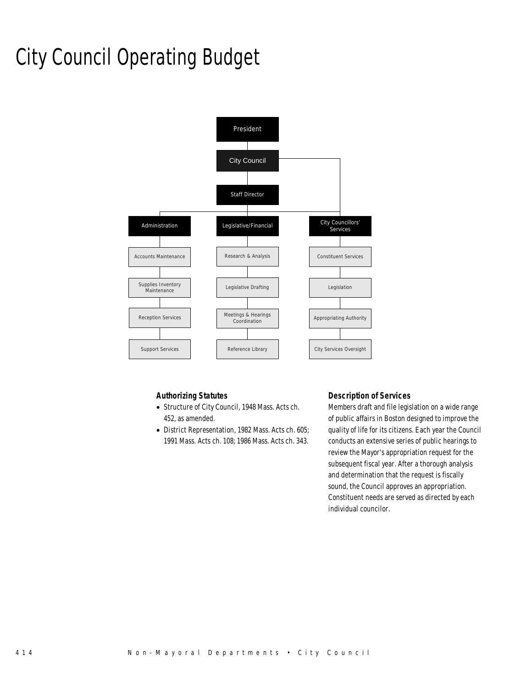# City Council Operating Budget



### *Authorizing Statutes*

- Structure of City Council, 1948 Mass. Acts ch. 452, as amended.
- District Representation, 1982 Mass. Acts ch. 605; 1991 Mass. Acts ch. 108; 1986 Mass. Acts ch. 343.

### *Description of Services*

Members draft and file legislation on a wide range of public affairs in Boston designed to improve the quality of life for its citizens. Each year the Council conducts an extensive series of public hearings to review the Mayor's appropriation request for the subsequent fiscal year. After a thorough analysis and determination that the request is fiscally sound, the Council approves an appropriation. Constituent needs are served as directed by each individual councilor.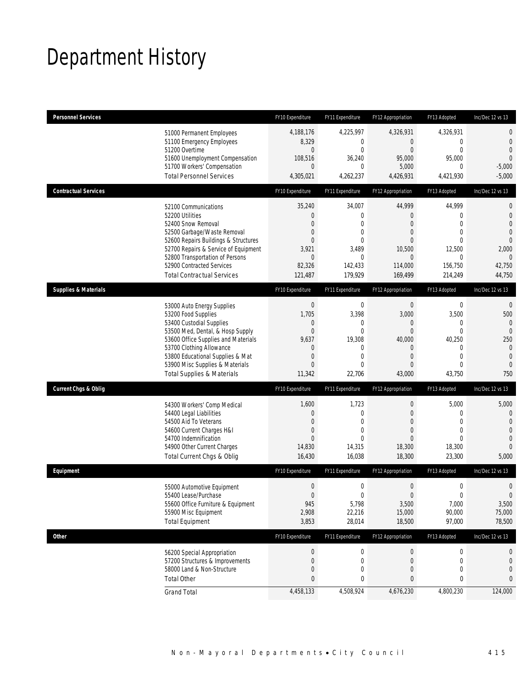# Department History

| <b>Personnel Services</b>       |                                                                | FY10 Expenditure            | FY11 Expenditure           | FY12 Appropriation               | FY13 Adopted                     | Inc/Dec 12 vs 13                 |
|---------------------------------|----------------------------------------------------------------|-----------------------------|----------------------------|----------------------------------|----------------------------------|----------------------------------|
|                                 | 51000 Permanent Employees                                      | 4,188,176                   | 4,225,997                  | 4,326,931                        | 4,326,931                        | $\mathbf 0$                      |
|                                 | 51100 Emergency Employees<br>51200 Overtime                    | 8,329<br>0                  | 0<br>$\mathbf 0$           | $\overline{0}$<br>$\overline{0}$ | $\overline{0}$<br>$\overline{0}$ | $\mathbf 0$<br>$\overline{0}$    |
|                                 | 51600 Unemployment Compensation                                | 108,516                     | 36,240                     | 95,000                           | 95,000                           | $\overline{0}$                   |
|                                 | 51700 Workers' Compensation<br><b>Total Personnel Services</b> | $\overline{0}$<br>4,305,021 | $\mathbf 0$<br>4,262,237   | 5,000<br>4,426,931               | 0<br>4,421,930                   | $-5,000$<br>$-5,000$             |
| <b>Contractual Services</b>     |                                                                | FY10 Expenditure            | FY11 Expenditure           | FY12 Appropriation               | FY13 Adopted                     | Inc/Dec 12 vs 13                 |
|                                 |                                                                |                             |                            |                                  |                                  |                                  |
|                                 | 52100 Communications                                           | 35,240                      | 34,007                     | 44,999                           | 44,999                           | $\mathbf{0}$                     |
|                                 | 52200 Utilities<br>52400 Snow Removal                          | 0<br>$\overline{0}$         | $\mathbf 0$<br>$\mathbf 0$ | $\theta$<br>$\theta$             | $\mathbf 0$<br>$\overline{0}$    | $\mathbf 0$<br>$\overline{0}$    |
|                                 | 52500 Garbage/Waste Removal                                    | 0                           | $\mathbf 0$                | $\overline{0}$                   | $\mathbf{0}$                     | $\overline{0}$                   |
|                                 | 52600 Repairs Buildings & Structures                           | $\overline{0}$              | $\mathbf 0$                | $\Omega$                         | $\Omega$                         | $\overline{0}$                   |
|                                 | 52700 Repairs & Service of Equipment                           | 3,921                       | 3,489                      | 10,500                           | 12,500                           | 2,000                            |
|                                 | 52800 Transportation of Persons<br>52900 Contracted Services   | $\mathbf 0$<br>82,326       | $\mathbf{0}$<br>142,433    | $\mathbf{0}$<br>114,000          | 0<br>156,750                     | $\theta$<br>42,750               |
|                                 | <b>Total Contractual Services</b>                              | 121,487                     | 179,929                    | 169,499                          | 214,249                          | 44,750                           |
| <b>Supplies &amp; Materials</b> |                                                                | FY10 Expenditure            | FY11 Expenditure           | FY12 Appropriation               | FY13 Adopted                     | Inc/Dec 12 vs 13                 |
|                                 | 53000 Auto Energy Supplies                                     | $\boldsymbol{0}$            | $\mathbf 0$                | $\boldsymbol{0}$                 | $\boldsymbol{0}$                 | $\mathbf{0}$                     |
|                                 | 53200 Food Supplies                                            | 1,705                       | 3,398                      | 3,000                            | 3,500                            | 500                              |
|                                 | 53400 Custodial Supplies                                       | 0                           | 0                          | 0                                | 0                                | $\mathbf{0}$                     |
|                                 | 53500 Med, Dental, & Hosp Supply                               | $\boldsymbol{0}$            | $\mathbf{0}$               | $\overline{0}$                   | $\overline{0}$                   | $\overline{0}$                   |
|                                 | 53600 Office Supplies and Materials                            | 9,637                       | 19,308                     | 40,000                           | 40,250                           | 250                              |
|                                 | 53700 Clothing Allowance<br>53800 Educational Supplies & Mat   | 0<br>$\mathbf 0$            | 0<br>$\mathbf{0}$          | $\theta$<br>$\overline{0}$       | 0<br>$\mathbf{0}$                | $\mathbf{0}$<br>$\mathbf{0}$     |
|                                 | 53900 Misc Supplies & Materials                                | $\Omega$                    | $\Omega$                   | $\theta$                         | $\Omega$                         | $\mathbf{0}$                     |
|                                 | <b>Total Supplies &amp; Materials</b>                          | 11,342                      | 22,706                     | 43,000                           | 43,750                           | 750                              |
| <b>Current Chgs &amp; Oblig</b> |                                                                | FY10 Expenditure            | FY11 Expenditure           | FY12 Appropriation               | FY13 Adopted                     | Inc/Dec 12 vs 13                 |
|                                 | 54300 Workers' Comp Medical                                    | 1,600                       | 1,723                      | $\boldsymbol{0}$                 | 5,000                            | 5,000                            |
|                                 | 54400 Legal Liabilities                                        | 0                           | $\mathbf 0$                | $\overline{0}$                   | 0                                | $\mathbf 0$                      |
|                                 | 54500 Aid To Veterans                                          | $\overline{0}$              | $\mathbf 0$                | $\theta$                         | $\overline{0}$                   | $\overline{0}$                   |
|                                 | 54600 Current Charges H&I                                      | $\mathbf 0$                 | $\mathbf{0}$               | $\overline{0}$                   | $\overline{0}$                   | $\overline{0}$                   |
|                                 | 54700 Indemnification<br>54900 Other Current Charges           | $\Omega$<br>14,830          | $\Omega$<br>14,315         | $\overline{0}$<br>18,300         | $\Omega$<br>18,300               | $\overline{0}$<br>$\overline{0}$ |
|                                 | Total Current Chgs & Oblig                                     | 16,430                      | 16,038                     | 18,300                           | 23,300                           | 5,000                            |
| Equipment                       |                                                                | FY10 Expenditure            | FY11 Expenditure           | FY12 Appropriation               | FY13 Adopted                     | Inc/Dec 12 vs 13                 |
|                                 | 55000 Automotive Equipment                                     | $\boldsymbol{0}$            | $\mathbf 0$                | $\boldsymbol{0}$                 | $\boldsymbol{0}$                 | $\mathbf 0$                      |
|                                 | 55400 Lease/Purchase                                           | $\Omega$                    | $\overline{0}$             | $\overline{0}$                   | $\mathbf 0$                      | $\overline{0}$                   |
|                                 | 55600 Office Furniture & Equipment                             | 945                         | 5,798                      | 3,500                            | 7,000                            | 3,500                            |
|                                 | 55900 Misc Equipment                                           | 2,908                       | 22,216                     | 15,000                           | 90,000                           | 75,000                           |
|                                 | <b>Total Equipment</b>                                         | 3,853                       | 28,014                     | 18,500                           | 97,000                           | 78,500                           |
| <b>Other</b>                    |                                                                | FY10 Expenditure            | FY11 Expenditure           | FY12 Appropriation               | FY13 Adopted                     | Inc/Dec 12 vs 13                 |
|                                 | 56200 Special Appropriation                                    | $\boldsymbol{0}$            | $\boldsymbol{0}$           | $\boldsymbol{0}$                 | 0                                | 0                                |
|                                 | 57200 Structures & Improvements                                | $\boldsymbol{0}$            | 0                          | $\boldsymbol{0}$                 | 0                                | 0                                |
|                                 | 58000 Land & Non-Structure                                     | $\mathbf 0$                 | $\mathbf 0$                | $\theta$                         | 0                                | 0                                |
|                                 | <b>Total Other</b>                                             | 0                           | 0                          | 0                                | 0                                | 0                                |
|                                 | <b>Grand Total</b>                                             | 4,458,133                   | 4,508,924                  | 4,676,230                        | 4,800,230                        | 124,000                          |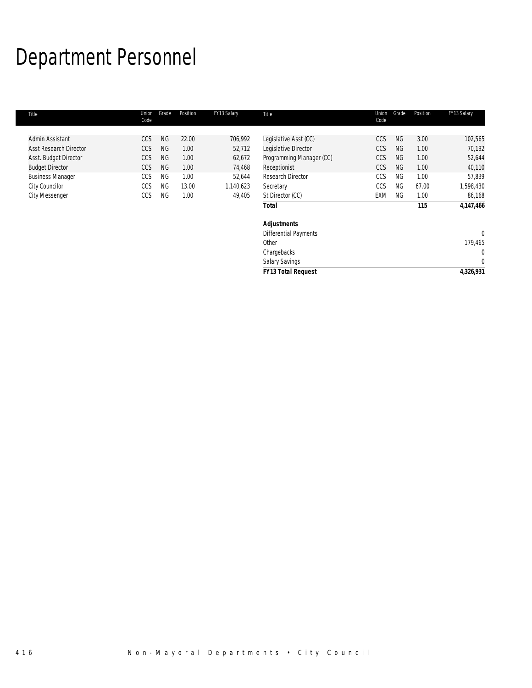# Department Personnel

| Title                         | Union<br>Code | Grade     | Position | FY13 Salary | Title                        | Union<br>Code | Grade     | Position | FY13 Salary  |
|-------------------------------|---------------|-----------|----------|-------------|------------------------------|---------------|-----------|----------|--------------|
| Admin Assistant               | CCS           | <b>NG</b> | 22.00    | 706,992     | Legislative Asst (CC)        | CCS           | <b>NG</b> | 3.00     | 102,565      |
| <b>Asst Research Director</b> | <b>CCS</b>    | <b>NG</b> | 1.00     | 52,712      | Legislative Director         | <b>CCS</b>    | <b>NG</b> | 1.00     | 70,192       |
| Asst. Budget Director         | <b>CCS</b>    | NG        | 1.00     | 62,672      | Programming Manager (CC)     | <b>CCS</b>    | <b>NG</b> | 1.00     | 52,644       |
| <b>Budget Director</b>        | <b>CCS</b>    | <b>NG</b> | 1.00     | 74,468      | Receptionist                 | <b>CCS</b>    | <b>NG</b> | 1.00     | 40,110       |
| <b>Business Manager</b>       | CCS           | <b>NG</b> | 1.00     | 52,644      | Research Director            | CCS           | <b>NG</b> | 1.00     | 57,839       |
| City Councilor                | CCS           | <b>NG</b> | 13.00    | 1,140,623   | Secretary                    | CCS           | <b>NG</b> | 67.00    | 1,598,430    |
| <b>City Messenger</b>         | <b>CCS</b>    | <b>NG</b> | 1.00     | 49,405      | St Director (CC)             | EXM           | <b>NG</b> | 1.00     | 86,168       |
|                               |               |           |          |             | <b>Total</b>                 |               |           | 115      | 4,147,466    |
|                               |               |           |          |             | <b>Adjustments</b>           |               |           |          |              |
|                               |               |           |          |             | <b>Differential Payments</b> |               |           |          | $\mathbf{0}$ |
|                               |               |           |          |             | Other                        |               |           |          | 179,465      |
|                               |               |           |          |             | Chargebacks                  |               |           |          | 0            |
|                               |               |           |          |             | <b>Salary Savings</b>        |               |           |          | $\Omega$     |
|                               |               |           |          |             | <b>FY13 Total Request</b>    |               |           |          | 4,326,931    |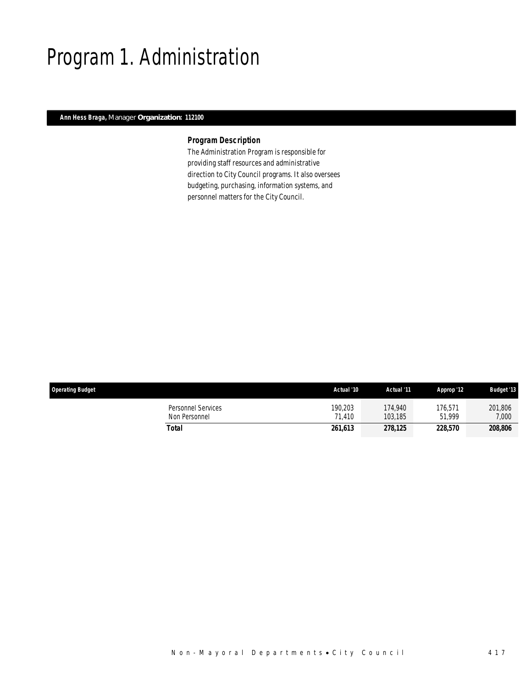## Program 1. Administration

### *Ann Hess Braga, Manager Organization: 112100*

### *Program Description*

The Administration Program is responsible for providing staff resources and administrative direction to City Council programs. It also oversees budgeting, purchasing, information systems, and personnel matters for the City Council.

| <b>Operating Budget</b>             | Actual '10        | Actual '11         | Approp '12            | <b>Budget '13</b> |
|-------------------------------------|-------------------|--------------------|-----------------------|-------------------|
| Personnel Services<br>Non Personnel | 190,203<br>71.410 | 174.940<br>103.185 | 176,571<br>51.999     | 201,806<br>7,000  |
| Total                               | 261,613           | 278.125            | <i><b>228.570</b></i> | 208,806           |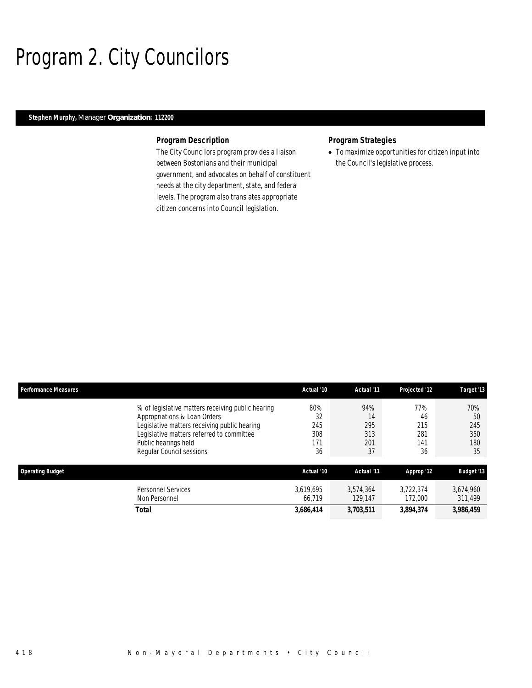# Program 2. City Councilors

### *Stephen Murphy, Manager Organization: 112200*

#### *Program Description*

The City Councilors program provides a liaison between Bostonians and their municipal government, and advocates on behalf of constituent needs at the city department, state, and federal levels. The program also translates appropriate citizen concerns into Council legislation.

### *Program Strategies*

• To maximize opportunities for citizen input into the Council's legislative process.

| <b>Performance Measures</b> |                                                                                                                                                                                                                                    | Actual '10                           | Actual '11                           | Projected '12                        | Target '13                           |
|-----------------------------|------------------------------------------------------------------------------------------------------------------------------------------------------------------------------------------------------------------------------------|--------------------------------------|--------------------------------------|--------------------------------------|--------------------------------------|
|                             | % of legislative matters receiving public hearing<br>Appropriations & Loan Orders<br>Legislative matters receiving public hearing<br>Legislative matters referred to committee<br>Public hearings held<br>Regular Council sessions | 80%<br>32<br>245<br>308<br>171<br>36 | 94%<br>14<br>295<br>313<br>201<br>37 | 77%<br>46<br>215<br>281<br>141<br>36 | 70%<br>50<br>245<br>350<br>180<br>35 |
| <b>Operating Budget</b>     |                                                                                                                                                                                                                                    | Actual '10                           | Actual '11                           | Approp '12                           | <b>Budget '13</b>                    |
|                             | Personnel Services<br>Non Personnel                                                                                                                                                                                                | 3.619.695<br>66.719                  | 3.574.364<br>129.147                 | 3.722.374<br>172,000                 | 3,674,960<br>311.499                 |
|                             | <b>Total</b>                                                                                                                                                                                                                       | 3,686,414                            | 3,703,511                            | 3,894,374                            | 3,986,459                            |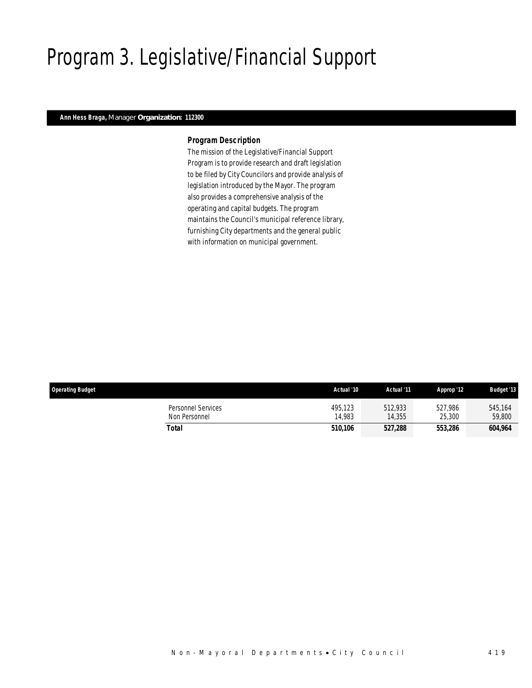# Program 3. Legislative/Financial Support

### *Ann Hess Braga, Manager Organization: 112300*

#### *Program Description*

The mission of the Legislative/Financial Support Program is to provide research and draft legislation to be filed by City Councilors and provide analysis of legislation introduced by the Mayor. The program also provides a comprehensive analysis of the operating and capital budgets. The program maintains the Council's municipal reference library, furnishing City departments and the general public with information on municipal government.

| <b>Operating Budget</b>                    | Actual '10        | Actual '11        | Approp '12        | <b>Budget '13</b> |
|--------------------------------------------|-------------------|-------------------|-------------------|-------------------|
| <b>Personnel Services</b><br>Non Personnel | 495.123<br>14.983 | 512.933<br>14,355 | 527.986<br>25,300 | 545.164<br>59,800 |
| Total                                      | 510.106           | 527,288           | 553,286           | 604,964           |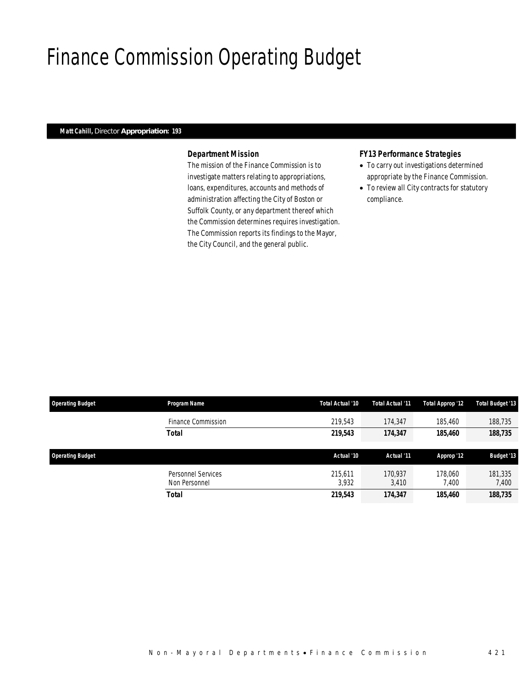## Finance Commission Operating Budget

### *Matt Cahill, Director Appropriation: 193*

### *Department Mission*

The mission of the Finance Commission is to investigate matters relating to appropriations, loans, expenditures, accounts and methods of administration affecting the City of Boston or Suffolk County, or any department thereof which the Commission determines requires investigation. The Commission reports its findings to the Mayor, the City Council, and the general public.

#### *FY13 Performance Strategies*

- To carry out investigations determined appropriate by the Finance Commission.
- To review all City contracts for statutory compliance.

| <b>Operating Budget</b> | Program Name                        | Total Actual '10 | Total Actual '11 | Total Approp '12 | Total Budget '13  |
|-------------------------|-------------------------------------|------------------|------------------|------------------|-------------------|
|                         | Finance Commission                  | 219.543          | 174.347          | 185,460          | 188,735           |
|                         | <b>Total</b>                        | 219,543          | 174,347          | 185,460          | 188,735           |
| <b>Operating Budget</b> |                                     | Actual '10       | Actual '11       | Approp '12       | <b>Budget '13</b> |
|                         | Personnel Services<br>Non Personnel | 215.611<br>3.932 | 170.937<br>3,410 | 178,060<br>7.400 | 181,335<br>7,400  |
|                         | <b>Total</b>                        | 219,543          | 174,347          | 185,460          | 188,735           |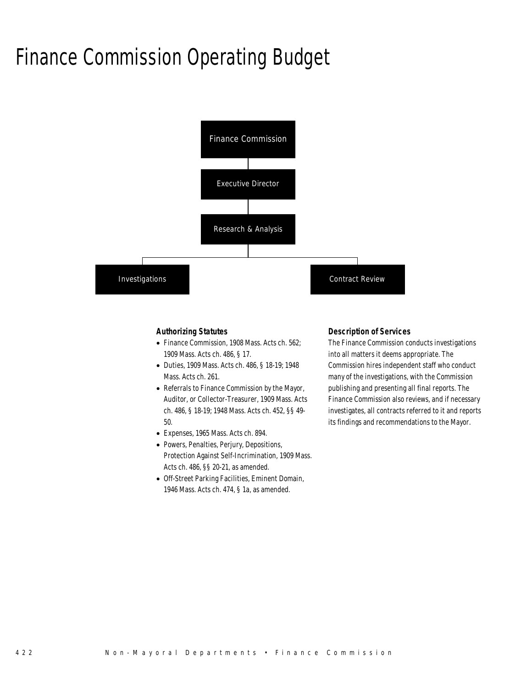### Finance Commission Operating Budget



#### *Authorizing Statutes*

- Finance Commission, 1908 Mass. Acts ch. 562; 1909 Mass. Acts ch. 486, § 17.
- Duties, 1909 Mass. Acts ch. 486, § 18-19; 1948 Mass. Acts ch. 261.
- Referrals to Finance Commission by the Mayor, Auditor, or Collector-Treasurer, 1909 Mass. Acts ch. 486, § 18-19; 1948 Mass. Acts ch. 452, §§ 49- 50.
- Expenses, 1965 Mass. Acts ch. 894.
- Powers, Penalties, Perjury, Depositions, Protection Against Self-Incrimination, 1909 Mass. Acts ch. 486, §§ 20-21, as amended.
- Off-Street Parking Facilities, Eminent Domain, 1946 Mass. Acts ch. 474, § 1a, as amended.

#### *Description of Services*

The Finance Commission conducts investigations into all matters it deems appropriate. The Commission hires independent staff who conduct many of the investigations, with the Commission publishing and presenting all final reports. The Finance Commission also reviews, and if necessary investigates, all contracts referred to it and reports its findings and recommendations to the Mayor.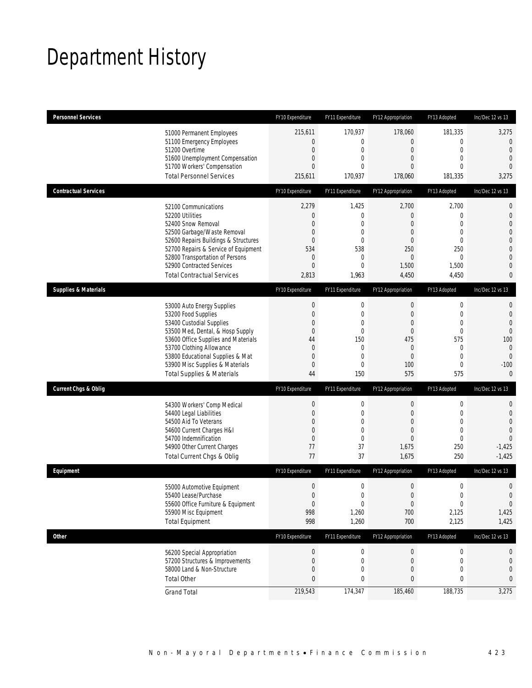# Department History

| <b>Personnel Services</b>       |                                                                                                                                                                                                                                                                                                      | FY10 Expenditure                                                               | FY11 Expenditure                                                                               | FY12 Appropriation                                                                                                            | FY13 Adopted                                                                                                          | Inc/Dec 12 vs 13                                                                                                                    |
|---------------------------------|------------------------------------------------------------------------------------------------------------------------------------------------------------------------------------------------------------------------------------------------------------------------------------------------------|--------------------------------------------------------------------------------|------------------------------------------------------------------------------------------------|-------------------------------------------------------------------------------------------------------------------------------|-----------------------------------------------------------------------------------------------------------------------|-------------------------------------------------------------------------------------------------------------------------------------|
|                                 | 51000 Permanent Employees<br>51100 Emergency Employees<br>51200 Overtime<br>51600 Unemployment Compensation<br>51700 Workers' Compensation<br><b>Total Personnel Services</b>                                                                                                                        | 215,611<br>0<br>0<br>0<br>0<br>215,611                                         | 170,937<br>$\mathbf 0$<br>0<br>$\mathbf 0$<br>0<br>170,937                                     | 178,060<br>$\boldsymbol{0}$<br>$\mathbf 0$<br>$\boldsymbol{0}$<br>$\overline{0}$<br>178,060                                   | 181,335<br>$\mathbf 0$<br>$\mathbf 0$<br>$\mathbf{0}$<br>$\mathbf{0}$<br>181,335                                      | 3,275<br>$\mathbf 0$<br>$\mathbf{0}$<br>$\mathbf{0}$<br>$\overline{0}$<br>3,275                                                     |
| <b>Contractual Services</b>     |                                                                                                                                                                                                                                                                                                      | FY10 Expenditure                                                               | FY11 Expenditure                                                                               | FY12 Appropriation                                                                                                            | FY13 Adopted                                                                                                          | Inc/Dec 12 vs 13                                                                                                                    |
|                                 | 52100 Communications<br>52200 Utilities<br>52400 Snow Removal<br>52500 Garbage/Waste Removal<br>52600 Repairs Buildings & Structures<br>52700 Repairs & Service of Equipment<br>52800 Transportation of Persons<br>52900 Contracted Services<br><b>Total Contractual Services</b>                    | 2,279<br>0<br>0<br>0<br>0<br>534<br>$\mathbf 0$<br>0<br>2,813                  | 1,425<br>$\mathbf 0$<br>0<br>0<br>$\overline{0}$<br>538<br>$\mathbf 0$<br>$\mathbf 0$<br>1,963 | 2,700<br>$\boldsymbol{0}$<br>$\overline{0}$<br>$\overline{0}$<br>$\overline{0}$<br>250<br>$\mathbf 0$<br>1,500<br>4,450       | 2,700<br>$\mathbf 0$<br>$\mathbf{0}$<br>$\mathbf{0}$<br>$\mathbf{0}$<br>250<br>$\mathbf{0}$<br>1,500<br>4,450         | $\mathbf 0$<br>$\mathbf 0$<br>$\overline{0}$<br>$\mathbf{0}$<br>$\mathbf 0$<br>$\overline{0}$<br>$\mathbf 0$<br>$\overline{0}$<br>0 |
| <b>Supplies &amp; Materials</b> |                                                                                                                                                                                                                                                                                                      | FY10 Expenditure                                                               | FY11 Expenditure                                                                               | FY12 Appropriation                                                                                                            | FY13 Adopted                                                                                                          | Inc/Dec 12 vs 13                                                                                                                    |
|                                 | 53000 Auto Energy Supplies<br>53200 Food Supplies<br>53400 Custodial Supplies<br>53500 Med, Dental, & Hosp Supply<br>53600 Office Supplies and Materials<br>53700 Clothing Allowance<br>53800 Educational Supplies & Mat<br>53900 Misc Supplies & Materials<br><b>Total Supplies &amp; Materials</b> | $\boldsymbol{0}$<br>$\mathbf 0$<br>0<br>0<br>44<br>$\mathbf 0$<br>0<br>0<br>44 | $\boldsymbol{0}$<br>$\mathbf 0$<br>0<br>0<br>150<br>0<br>$\mathbf 0$<br>0<br>150               | $\boldsymbol{0}$<br>$\boldsymbol{0}$<br>$\mathbf 0$<br>$\mathbf 0$<br>475<br>$\overline{0}$<br>$\boldsymbol{0}$<br>100<br>575 | $\mathbf 0$<br>$\mathbf 0$<br>$\mathbf{0}$<br>$\mathbf 0$<br>575<br>$\mathbf{0}$<br>$\mathbf 0$<br>$\mathbf 0$<br>575 | $\mathbf{0}$<br>$\mathbf{0}$<br>$\overline{0}$<br>$\overline{0}$<br>100<br>$\mathbf{0}$<br>$\mathbf{0}$<br>$-100$<br>$\mathbf{0}$   |
| <b>Current Chgs &amp; Oblig</b> |                                                                                                                                                                                                                                                                                                      | FY10 Expenditure                                                               | FY11 Expenditure                                                                               | FY12 Appropriation                                                                                                            | FY13 Adopted                                                                                                          | Inc/Dec 12 vs 13                                                                                                                    |
|                                 | 54300 Workers' Comp Medical<br>54400 Legal Liabilities<br>54500 Aid To Veterans<br>54600 Current Charges H&I<br>54700 Indemnification<br>54900 Other Current Charges<br>Total Current Chgs & Oblig                                                                                                   | $\boldsymbol{0}$<br>0<br>0<br>0<br>$\mathbf 0$<br>77<br>77                     | $\boldsymbol{0}$<br>0<br>0<br>0<br>$\mathbf 0$<br>37<br>37                                     | $\boldsymbol{0}$<br>$\overline{0}$<br>$\overline{0}$<br>$\overline{0}$<br>$\overline{0}$<br>1,675<br>1,675                    | $\boldsymbol{0}$<br>$\mathbf 0$<br>$\mathbf{0}$<br>$\mathbf 0$<br>$\mathbf{0}$<br>250<br>250                          | $\mathbf 0$<br>$\mathbf 0$<br>$\overline{0}$<br>$\overline{0}$<br>$\Omega$<br>$-1,425$<br>$-1,425$                                  |
| Equipment                       |                                                                                                                                                                                                                                                                                                      | FY10 Expenditure                                                               | FY11 Expenditure                                                                               | FY12 Appropriation                                                                                                            | FY13 Adopted                                                                                                          | Inc/Dec 12 vs 13                                                                                                                    |
|                                 | 55000 Automotive Equipment<br>55400 Lease/Purchase<br>55600 Office Furniture & Equipment<br>55900 Misc Equipment<br><b>Total Equipment</b>                                                                                                                                                           | $\mathbf 0$<br>$\Omega$<br>$\theta$<br>998<br>998                              | 0<br>$\Omega$<br>$\boldsymbol{0}$<br>1,260<br>1,260                                            | $\boldsymbol{0}$<br>$\Omega$<br>$\boldsymbol{0}$<br>700<br>700                                                                | $\mathbf 0$<br>$\mathbf 0$<br>$\boldsymbol{0}$<br>2,125<br>2,125                                                      | $\mathbf 0$<br>$\Omega$<br>$\overline{0}$<br>1,425<br>1,425                                                                         |
| <b>Other</b>                    |                                                                                                                                                                                                                                                                                                      | FY10 Expenditure                                                               | FY11 Expenditure                                                                               | FY12 Appropriation                                                                                                            | FY13 Adopted                                                                                                          | Inc/Dec 12 vs 13                                                                                                                    |
|                                 | 56200 Special Appropriation<br>57200 Structures & Improvements<br>58000 Land & Non-Structure<br><b>Total Other</b>                                                                                                                                                                                   | $\pmb{0}$<br>$\boldsymbol{0}$<br>0<br>$\pmb{0}$                                | 0<br>0<br>0<br>0                                                                               | $\boldsymbol{0}$<br>$\boldsymbol{0}$<br>0<br>$\bf{0}$                                                                         | $\boldsymbol{0}$<br>$\boldsymbol{0}$<br>$\mathbf 0$<br>$\boldsymbol{0}$                                               | 0<br>$\theta$<br>$\theta$<br>0                                                                                                      |
|                                 | <b>Grand Total</b>                                                                                                                                                                                                                                                                                   | 219,543                                                                        | 174,347                                                                                        | 185,460                                                                                                                       | 188,735                                                                                                               | 3,275                                                                                                                               |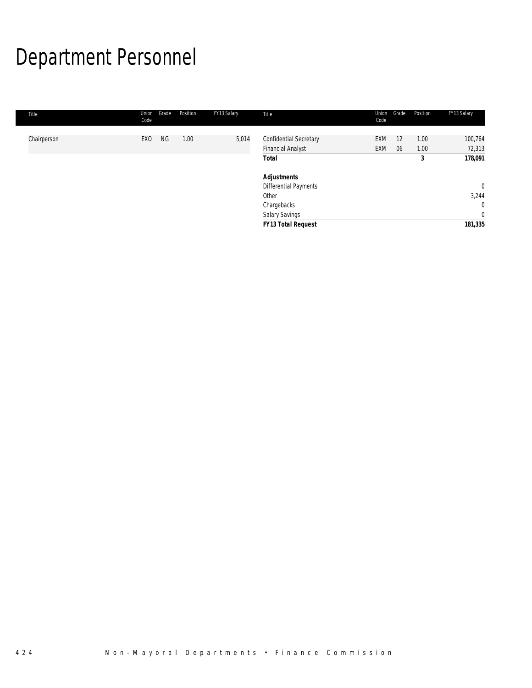# Department Personnel

| Title       | Grade<br>Union<br>Code       | Position | FY13 Salary | Title                                              | Union<br>Code | Grade    | Position     | FY13 Salary                    |
|-------------|------------------------------|----------|-------------|----------------------------------------------------|---------------|----------|--------------|--------------------------------|
| Chairperson | <b>NG</b><br>EX <sub>0</sub> | 1.00     | 5,014       | Confidential Secretary<br><b>Financial Analyst</b> | EXM<br>EXM    | 12<br>06 | 1.00<br>1.00 | 100,764<br>72,313              |
|             |                              |          |             | <b>Total</b>                                       |               |          | 3            | 178,091                        |
|             |                              |          |             | <b>Adjustments</b><br>Differential Payments        |               |          |              | $\overline{0}$                 |
|             |                              |          |             | Other                                              |               |          |              | 3,244                          |
|             |                              |          |             | Chargebacks<br><b>Salary Savings</b>               |               |          |              | $\mathbf{0}$<br>$\overline{0}$ |
|             |                              |          |             | <b>FY13 Total Request</b>                          |               |          |              | 181,335                        |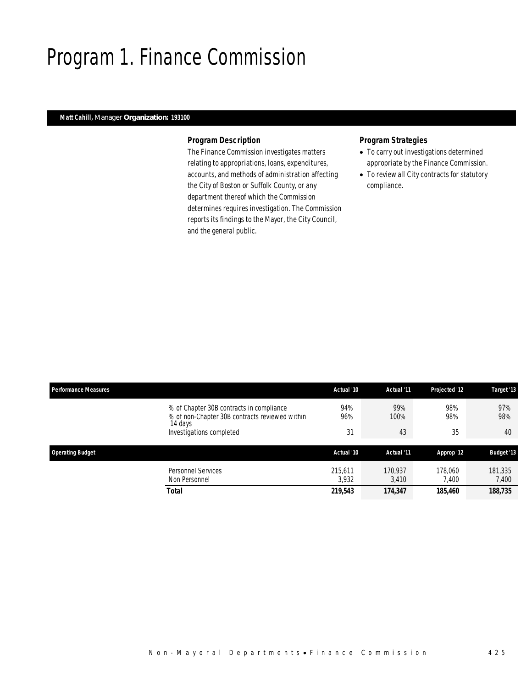### Program 1. Finance Commission

### *Matt Cahill, Manager Organization: 193100*

#### *Program Description*

The Finance Commission investigates matters relating to appropriations, loans, expenditures, accounts, and methods of administration affecting the City of Boston or Suffolk County, or any department thereof which the Commission determines requires investigation. The Commission reports its findings to the Mayor, the City Council, and the general public.

### *Program Strategies*

- To carry out investigations determined appropriate by the Finance Commission.
- To review all City contracts for statutory compliance.

| <b>Performance Measures</b>                                                                           | Actual '10 | Actual '11  | <b>Projected '12</b> | Target '13        |
|-------------------------------------------------------------------------------------------------------|------------|-------------|----------------------|-------------------|
| % of Chapter 30B contracts in compliance<br>% of non-Chapter 30B contracts reviewed within<br>14 days | 94%<br>96% | 99%<br>100% | 98%<br>98%           | 97%<br>98%        |
| Investigations completed                                                                              | 31         | 43          | 35                   | 40                |
| <b>Operating Budget</b>                                                                               | Actual '10 | Actual '11  | Approp '12           | <b>Budget '13</b> |
|                                                                                                       |            |             |                      |                   |
| <b>Personnel Services</b>                                                                             | 215.611    | 170.937     | 178,060              | 181,335           |
| Non Personnel                                                                                         | 3.932      | 3,410       | 7.400                | 7,400             |
| Total                                                                                                 | 219,543    | 174,347     | 185,460              | 188,735           |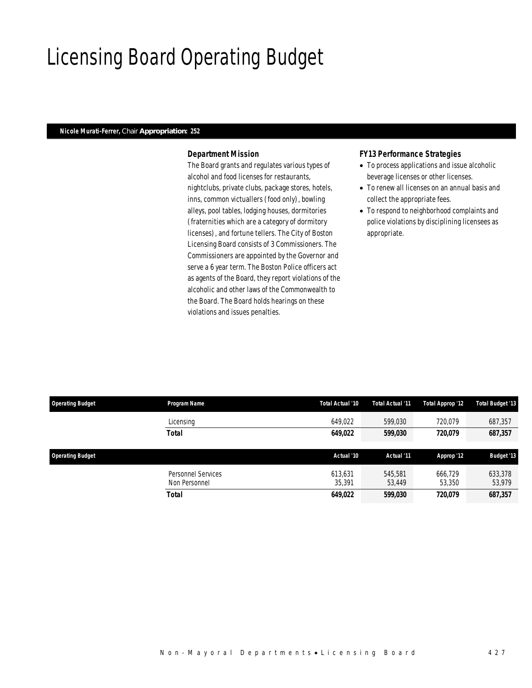### Licensing Board Operating Budget

### *Nicole Murati-Ferrer, Chair Appropriation: 252*

### *Department Mission*

The Board grants and regulates various types of alcohol and food licenses for restaurants, nightclubs, private clubs, package stores, hotels, inns, common victuallers (food only), bowling alleys, pool tables, lodging houses, dormitories (fraternities which are a category of dormitory licenses), and fortune tellers. The City of Boston Licensing Board consists of 3 Commissioners. The Commissioners are appointed by the Governor and serve a 6 year term. The Boston Police officers act as agents of the Board, they report violations of the alcoholic and other laws of the Commonwealth to the Board. The Board holds hearings on these violations and issues penalties.

#### *FY13 Performance Strategies*

- To process applications and issue alcoholic beverage licenses or other licenses.
- To renew all licenses on an annual basis and collect the appropriate fees.
- To respond to neighborhood complaints and police violations by disciplining licensees as appropriate.

| <b>Operating Budget</b> | Program Name                        | Total Actual '10  | Total Actual '11      | Total Approp '12  | <b>Total Budget '13</b> |
|-------------------------|-------------------------------------|-------------------|-----------------------|-------------------|-------------------------|
|                         | Licensing                           | 649,022           | 599,030               | 720.079           | 687,357                 |
|                         | <b>Total</b>                        | 649,022           | <i><b>599,030</b></i> | 720.079           | 687,357                 |
| <b>Operating Budget</b> |                                     | Actual '10        | Actual '11            | Approp '12        | <b>Budget '13</b>       |
|                         | Personnel Services<br>Non Personnel | 613.631<br>35,391 | 545,581<br>53.449     | 666.729<br>53,350 | 633.378<br>53,979       |
|                         | <b>Total</b>                        | 649,022           | <i><b>599,030</b></i> | 720.079           | 687,357                 |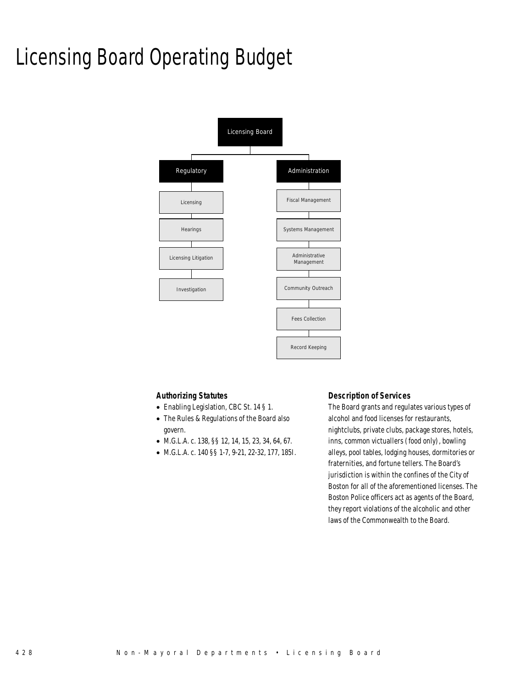# Licensing Board Operating Budget



#### *Authorizing Statutes*

- Enabling Legislation, CBC St. 14 § 1.
- The Rules & Regulations of the Board also govern.
- M.G.L.A. c. 138, §§ 12, 14, 15, 23, 34, 64, 67.
- M.G.L.A. c. 140 §§ 1-7, 9-21, 22-32, 177, 185I.

#### *Description of Services*

The Board grants and regulates various types of alcohol and food licenses for restaurants, nightclubs, private clubs, package stores, hotels, inns, common victuallers (food only), bowling alleys, pool tables, lodging houses, dormitories or fraternities, and fortune tellers. The Board's jurisdiction is within the confines of the City of Boston for all of the aforementioned licenses. The Boston Police officers act as agents of the Board, they report violations of the alcoholic and other laws of the Commonwealth to the Board.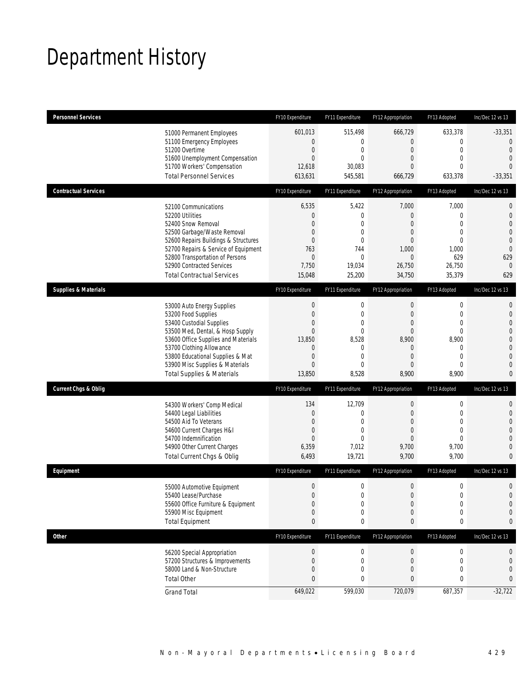# Department History

| <b>Personnel Services</b>       |                                                                                                                                                                                                                                                                                                      | FY10 Expenditure                                                                                                     | FY11 Expenditure                                                                                           | FY12 Appropriation                                                                   | FY13 Adopted                                                                                               | Inc/Dec 12 vs 13                                                                                                                                   |
|---------------------------------|------------------------------------------------------------------------------------------------------------------------------------------------------------------------------------------------------------------------------------------------------------------------------------------------------|----------------------------------------------------------------------------------------------------------------------|------------------------------------------------------------------------------------------------------------|--------------------------------------------------------------------------------------|------------------------------------------------------------------------------------------------------------|----------------------------------------------------------------------------------------------------------------------------------------------------|
|                                 | 51000 Permanent Employees<br>51100 Emergency Employees<br>51200 Overtime<br>51600 Unemployment Compensation<br>51700 Workers' Compensation<br><b>Total Personnel Services</b>                                                                                                                        | 601,013<br>$\boldsymbol{0}$<br>$\boldsymbol{0}$<br>$\overline{0}$<br>12,618<br>613,631                               | 515,498<br>0<br>$\boldsymbol{0}$<br>0<br>30,083<br>545,581                                                 | 666,729<br>$\overline{0}$<br>0<br>$\overline{0}$<br>0<br>666,729                     | 633,378<br>$\boldsymbol{0}$<br>$\mathbf 0$<br>$\mathbf{0}$<br>$\mathbf 0$<br>633,378                       | $-33,351$<br>$\overline{0}$<br>$\mathbf{0}$<br>$\mathbf{0}$<br>$\overline{0}$<br>$-33,351$                                                         |
| <b>Contractual Services</b>     |                                                                                                                                                                                                                                                                                                      | FY10 Expenditure                                                                                                     | FY11 Expenditure                                                                                           | FY12 Appropriation                                                                   | FY13 Adopted                                                                                               | Inc/Dec 12 vs 13                                                                                                                                   |
|                                 | 52100 Communications<br>52200 Utilities<br>52400 Snow Removal<br>52500 Garbage/Waste Removal<br>52600 Repairs Buildings & Structures<br>52700 Repairs & Service of Equipment<br>52800 Transportation of Persons<br>52900 Contracted Services<br><b>Total Contractual Services</b>                    | 6,535<br>$\boldsymbol{0}$<br>0<br>0<br>$\overline{0}$<br>763<br>$\mathbf 0$<br>7,750<br>15,048                       | 5,422<br>$\boldsymbol{0}$<br>0<br>$\mathbf{0}$<br>$\overline{0}$<br>744<br>$\mathbf 0$<br>19,034<br>25,200 | 7,000<br>$\mathbf 0$<br>0<br>0<br>0<br>1,000<br>$\boldsymbol{0}$<br>26,750<br>34,750 | 7,000<br>$\mathbf 0$<br>$\mathbf{0}$<br>$\mathbf{0}$<br>$\mathbf{0}$<br>1,000<br>629<br>26,750<br>35,379   | $\mathbf 0$<br>$\mathbf{0}$<br>$\overline{0}$<br>$\overline{0}$<br>$\mathbf{0}$<br>$\overline{0}$<br>629<br>$\mathbf{0}$<br>629                    |
| <b>Supplies &amp; Materials</b> |                                                                                                                                                                                                                                                                                                      | FY10 Expenditure                                                                                                     | FY11 Expenditure                                                                                           | FY12 Appropriation                                                                   | FY13 Adopted                                                                                               | Inc/Dec 12 vs 13                                                                                                                                   |
|                                 | 53000 Auto Energy Supplies<br>53200 Food Supplies<br>53400 Custodial Supplies<br>53500 Med, Dental, & Hosp Supply<br>53600 Office Supplies and Materials<br>53700 Clothing Allowance<br>53800 Educational Supplies & Mat<br>53900 Misc Supplies & Materials<br><b>Total Supplies &amp; Materials</b> | $\boldsymbol{0}$<br>$\boldsymbol{0}$<br>0<br>$\overline{0}$<br>13,850<br>$\theta$<br>$\boldsymbol{0}$<br>0<br>13,850 | 0<br>$\boldsymbol{0}$<br>0<br>0<br>8,528<br>$\mathbf{0}$<br>0<br>$\mathbf{0}$<br>8,528                     | $\boldsymbol{0}$<br>$\mathbf 0$<br>0<br>0<br>8,900<br>0<br>0<br>0<br>8,900           | 0<br>$\mathbf 0$<br>$\overline{0}$<br>$\overline{0}$<br>8,900<br>0<br>$\mathbf 0$<br>$\mathbf{0}$<br>8,900 | $\mathbf{0}$<br>$\mathbf 0$<br>$\mathbf{0}$<br>$\overline{0}$<br>$\mathbf 0$<br>$\overline{0}$<br>$\overline{0}$<br>$\overline{0}$<br>$\mathbf{0}$ |
| <b>Current Chgs &amp; Oblig</b> |                                                                                                                                                                                                                                                                                                      | FY10 Expenditure                                                                                                     | FY11 Expenditure                                                                                           | FY12 Appropriation                                                                   | FY13 Adopted                                                                                               | Inc/Dec 12 vs 13                                                                                                                                   |
|                                 | 54300 Workers' Comp Medical<br>54400 Legal Liabilities<br>54500 Aid To Veterans<br>54600 Current Charges H&I<br>54700 Indemnification<br>54900 Other Current Charges<br>Total Current Chgs & Oblig                                                                                                   | 134<br>$\boldsymbol{0}$<br>$\boldsymbol{0}$<br>$\mathbf 0$<br>$\overline{0}$<br>6,359<br>6,493                       | 12,709<br>0<br>$\overline{0}$<br>$\mathbf{0}$<br>$\theta$<br>7,012<br>19,721                               | 0<br>0<br>$\overline{0}$<br>0<br>$\overline{0}$<br>9,700<br>9,700                    | $\boldsymbol{0}$<br>$\mathbf 0$<br>$\overline{0}$<br>$\mathbf{0}$<br>$\Omega$<br>9,700<br>9,700            | $\mathbf 0$<br>$\mathbf 0$<br>$\overline{0}$<br>$\overline{0}$<br>$\overline{0}$<br>$\overline{0}$<br>$\mathbf{0}$                                 |
| Equipment                       |                                                                                                                                                                                                                                                                                                      | FY10 Expenditure                                                                                                     | FY11 Expenditure                                                                                           | FY12 Appropriation                                                                   | FY13 Adopted                                                                                               | Inc/Dec 12 vs 13                                                                                                                                   |
|                                 | 55000 Automotive Equipment<br>55400 Lease/Purchase<br>55600 Office Furniture & Equipment<br>55900 Misc Equipment<br><b>Total Equipment</b>                                                                                                                                                           | $\boldsymbol{0}$<br>$\Omega$<br>$\boldsymbol{0}$<br>$\boldsymbol{0}$<br>$\bf{0}$                                     | 0<br>$\Omega$<br>0<br>0<br>0                                                                               | $\mathbf 0$<br>0<br>$\boldsymbol{0}$<br>0<br>0                                       | $\boldsymbol{0}$<br>$\boldsymbol{0}$<br>$\pmb{0}$<br>$\mathbf 0$<br>$\pmb{0}$                              | $\mathbf 0$<br>$\Omega$<br>0<br>0<br>0                                                                                                             |
| <b>Other</b>                    |                                                                                                                                                                                                                                                                                                      | FY10 Expenditure                                                                                                     | FY11 Expenditure                                                                                           | FY12 Appropriation                                                                   | FY13 Adopted                                                                                               | Inc/Dec 12 vs 13                                                                                                                                   |
|                                 | 56200 Special Appropriation<br>57200 Structures & Improvements<br>58000 Land & Non-Structure<br><b>Total Other</b>                                                                                                                                                                                   | $\boldsymbol{0}$<br>$\boldsymbol{0}$<br>0<br>$\bf{0}$                                                                | 0<br>0<br>0<br>0                                                                                           | $\boldsymbol{0}$<br>$\mathbf 0$<br>0<br>0                                            | 0<br>$\boldsymbol{0}$<br>$\mathbf 0$<br>0                                                                  | 0<br>$\mathbf 0$<br>$\mathbf 0$<br>0                                                                                                               |
|                                 | <b>Grand Total</b>                                                                                                                                                                                                                                                                                   | 649,022                                                                                                              | 599,030                                                                                                    | 720,079                                                                              | 687,357                                                                                                    | $-32,722$                                                                                                                                          |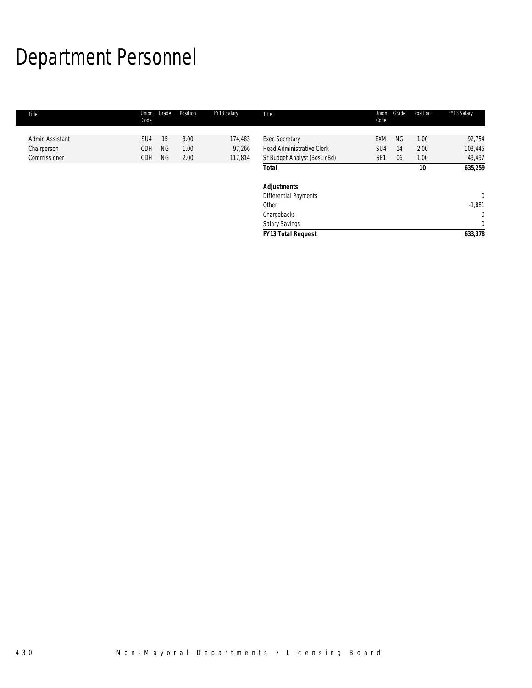# Department Personnel

| Title           | Union<br>Code   | Grade     | Position | FY13 Salary | Title                            | Union<br>Code   | Grade | Position | FY13 Salary  |
|-----------------|-----------------|-----------|----------|-------------|----------------------------------|-----------------|-------|----------|--------------|
|                 |                 |           |          |             |                                  |                 |       |          |              |
| Admin Assistant | SU <sub>4</sub> | 15        | 3.00     | 174,483     | <b>Exec Secretary</b>            | <b>EXM</b>      | NG.   | 1.00     | 92,754       |
| Chairperson     | CDH             | <b>NG</b> | 1.00     | 97,266      | <b>Head Administrative Clerk</b> | SU4             | 14    | 2.00     | 103,445      |
| Commissioner    | CDH             | <b>NG</b> | 2.00     | 117,814     | Sr Budget Analyst (BosLicBd)     | SE <sub>1</sub> | 06    | 1.00     | 49,497       |
|                 |                 |           |          |             | <b>Total</b>                     |                 |       | 10       | 635,259      |
|                 |                 |           |          |             | <b>Adjustments</b>               |                 |       |          |              |
|                 |                 |           |          |             | Differential Payments            |                 |       |          | $\mathbf{0}$ |
|                 |                 |           |          |             | Other                            |                 |       |          | $-1,881$     |
|                 |                 |           |          |             | Chargebacks                      |                 |       |          | $\mathbf 0$  |
|                 |                 |           |          |             | Salary Savings                   |                 |       |          | $\mathbf{0}$ |
|                 |                 |           |          |             | <b>FY13 Total Request</b>        |                 |       |          | 633,378      |